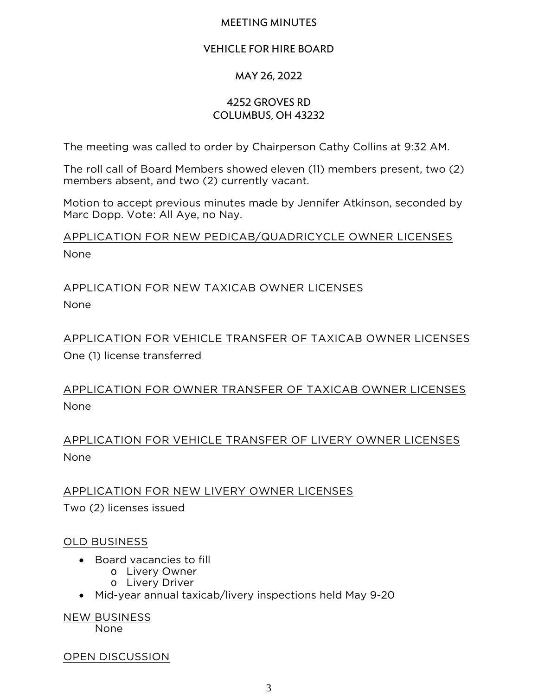#### MEETING MINUTES

## VEHICLE FOR HIRE BOARD

## MAY 26, 2022

#### 4252 Groves Rd Columbus, OH 43232

The meeting was called to order by Chairperson Cathy Collins at 9:32 AM.

The roll call of Board Members showed eleven (11) members present, two (2) members absent, and two (2) currently vacant.

Motion to accept previous minutes made by Jennifer Atkinson, seconded by Marc Dopp. Vote: All Aye, no Nay.

APPLICATION FOR NEW PEDICAB/QUADRICYCLE OWNER LICENSES None

# APPLICATION FOR NEW TAXICAB OWNER LICENSES None

APPLICATION FOR VEHICLE TRANSFER OF TAXICAB OWNER LICENSES One (1) license transferred

APPLICATION FOR OWNER TRANSFER OF TAXICAB OWNER LICENSES None

APPLICATION FOR VEHICLE TRANSFER OF LIVERY OWNER LICENSES None

APPLICATION FOR NEW LIVERY OWNER LICENSES Two (2) licenses issued

## OLD BUSINESS

- Board vacancies to fill
	- o Livery Owner
	- o Livery Driver
- Mid-year annual taxicab/livery inspections held May 9-20

NEW BUSINESS None

OPEN DISCUSSION